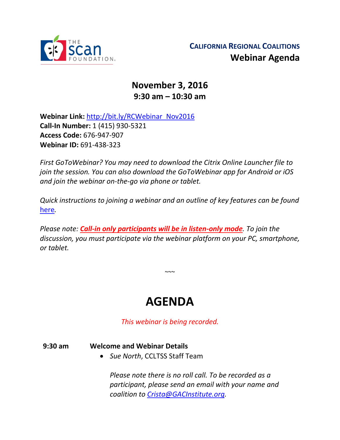

## **November 3, 2016 9:30 am – 10:30 am**

**Webinar Link:** [http://bit.ly/RCWebinar\\_Nov2016](http://bit.ly/RCWebinar_Nov2016) **Call-In Number:** 1 (415) 930-5321 **Access Code:** 676-947-907 **Webinar ID:** 691-438-323

*First GoToWebinar? You may need to download the Citrix Online Launcher file to join the session. You can also download the GoToWebinar app for Android or iOS and join the webinar on-the-go via phone or tablet.* 

*Quick instructions to joining a webinar and an outline of key features can be found*  [here](http://thescanfoundationsummit.homestead.com/GoToWebinar_Participant_Guide_3.pdf)*.*

*Please note: Call-in only participants will be in listen-only mode. To join the discussion, you must participate via the webinar platform on your PC, smartphone, or tablet.* 

# **AGENDA**

 $\sim\sim$ 

*This webinar is being recorded.*

#### **9:30 am Welcome and Webinar Details**

*Sue North*, CCLTSS Staff Team

*Please note there is no roll call. To be recorded as a participant, please send an email with your name and coalition to [Crista@GACInstitute.org.](mailto:Crista@GACInstitute.org?subject=Regional%20Coalition%20October%20Webinar%20-%20Please%20Add%20to%20Attendee%20List)*